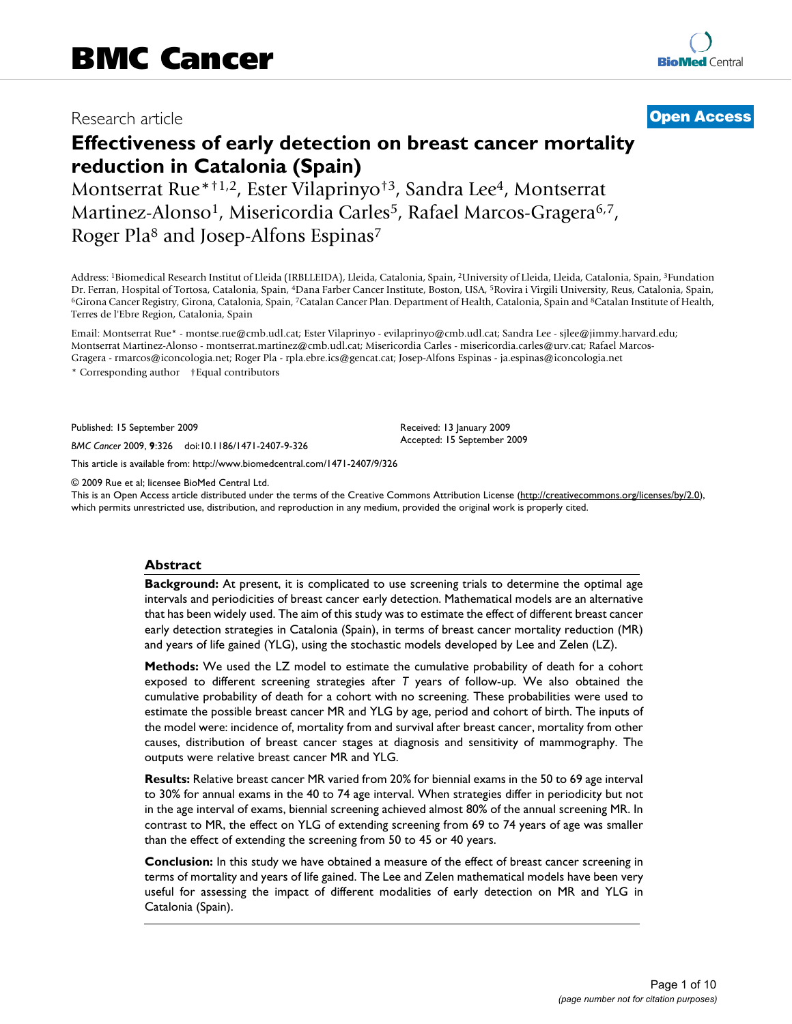## Research article

## **[Open Access](http://www.biomedcentral.com/info/about/charter/)**

# **Effectiveness of early detection on breast cancer mortality reduction in Catalonia (Spain)**

Montserrat Rue\*†1,2, Ester Vilaprinyo†3, Sandra Lee4, Montserrat Martinez-Alonso<sup>1</sup>, Misericordia Carles<sup>5</sup>, Rafael Marcos-Gragera<sup>6,7</sup>, Roger Pla<sup>8</sup> and Josep-Alfons Espinas<sup>7</sup>

Address: 1Biomedical Research Institut of Lleida (IRBLLEIDA), Lleida, Catalonia, Spain, 2University of Lleida, Lleida, Catalonia, Spain, 3Fundation Dr. Ferran, Hospital of Tortosa, Catalonia, Spain, <sup>4</sup>Dana Farber Cancer Institute, Boston, USA, <sup>5</sup>Rovira i Virgili University, Reus, Catalonia, Spain, 6Girona Cancer Registry, Girona, Catalonia, Spain, <sup>6</sup>Girona Cancer R Terres de l'Ebre Region, Catalonia, Spain

Email: Montserrat Rue\* - montse.rue@cmb.udl.cat; Ester Vilaprinyo - evilaprinyo@cmb.udl.cat; Sandra Lee - sjlee@jimmy.harvard.edu; Montserrat Martinez-Alonso - montserrat.martinez@cmb.udl.cat; Misericordia Carles - misericordia.carles@urv.cat; Rafael Marcos-Gragera - rmarcos@iconcologia.net; Roger Pla - rpla.ebre.ics@gencat.cat; Josep-Alfons Espinas - ja.espinas@iconcologia.net \* Corresponding author †Equal contributors

Published: 15 September 2009

*BMC Cancer* 2009, **9**:326 doi:10.1186/1471-2407-9-326

[This article is available from: http://www.biomedcentral.com/1471-2407/9/326](http://www.biomedcentral.com/1471-2407/9/326)

© 2009 Rue et al; licensee BioMed Central Ltd.

This is an Open Access article distributed under the terms of the Creative Commons Attribution License [\(http://creativecommons.org/licenses/by/2.0\)](http://creativecommons.org/licenses/by/2.0), which permits unrestricted use, distribution, and reproduction in any medium, provided the original work is properly cited.

Received: 13 January 2009 Accepted: 15 September 2009

#### **Abstract**

**Background:** At present, it is complicated to use screening trials to determine the optimal age intervals and periodicities of breast cancer early detection. Mathematical models are an alternative that has been widely used. The aim of this study was to estimate the effect of different breast cancer early detection strategies in Catalonia (Spain), in terms of breast cancer mortality reduction (MR) and years of life gained (YLG), using the stochastic models developed by Lee and Zelen (LZ).

**Methods:** We used the LZ model to estimate the cumulative probability of death for a cohort exposed to different screening strategies after *T* years of follow-up. We also obtained the cumulative probability of death for a cohort with no screening. These probabilities were used to estimate the possible breast cancer MR and YLG by age, period and cohort of birth. The inputs of the model were: incidence of, mortality from and survival after breast cancer, mortality from other causes, distribution of breast cancer stages at diagnosis and sensitivity of mammography. The outputs were relative breast cancer MR and YLG.

**Results:** Relative breast cancer MR varied from 20% for biennial exams in the 50 to 69 age interval to 30% for annual exams in the 40 to 74 age interval. When strategies differ in periodicity but not in the age interval of exams, biennial screening achieved almost 80% of the annual screening MR. In contrast to MR, the effect on YLG of extending screening from 69 to 74 years of age was smaller than the effect of extending the screening from 50 to 45 or 40 years.

**Conclusion:** In this study we have obtained a measure of the effect of breast cancer screening in terms of mortality and years of life gained. The Lee and Zelen mathematical models have been very useful for assessing the impact of different modalities of early detection on MR and YLG in Catalonia (Spain).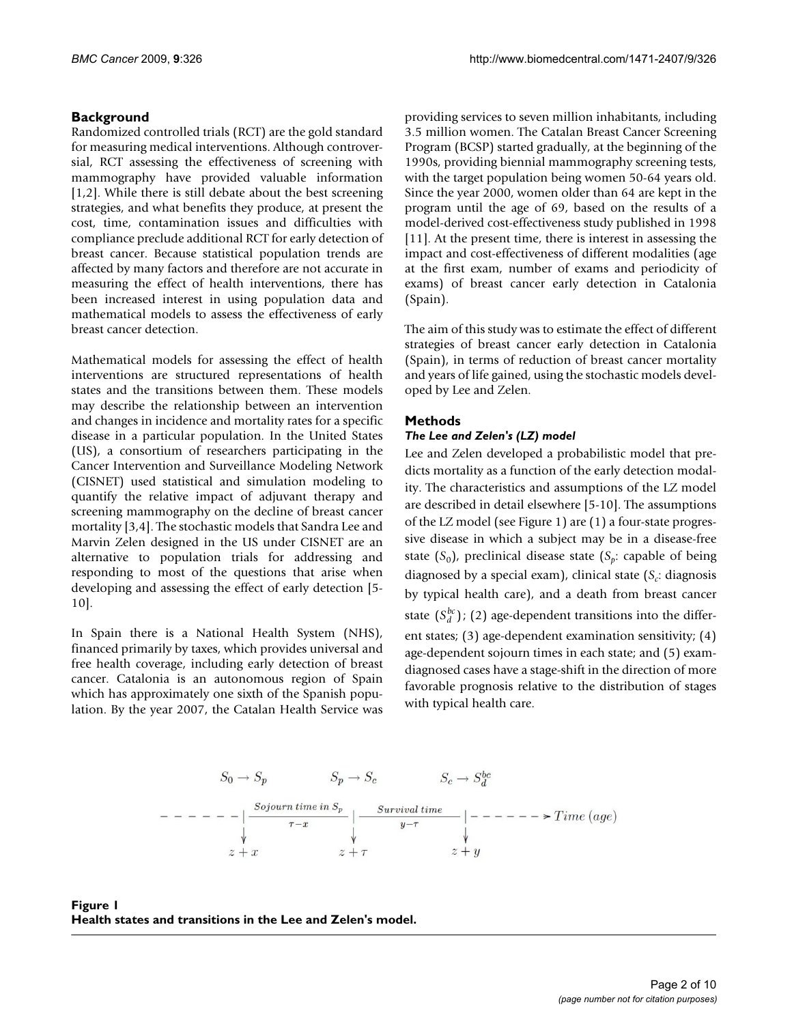## **Background**

Randomized controlled trials (RCT) are the gold standard for measuring medical interventions. Although controversial, RCT assessing the effectiveness of screening with mammography have provided valuable information [1,2]. While there is still debate about the best screening strategies, and what benefits they produce, at present the cost, time, contamination issues and difficulties with compliance preclude additional RCT for early detection of breast cancer. Because statistical population trends are affected by many factors and therefore are not accurate in measuring the effect of health interventions, there has been increased interest in using population data and mathematical models to assess the effectiveness of early breast cancer detection.

Mathematical models for assessing the effect of health interventions are structured representations of health states and the transitions between them. These models may describe the relationship between an intervention and changes in incidence and mortality rates for a specific disease in a particular population. In the United States (US), a consortium of researchers participating in the Cancer Intervention and Surveillance Modeling Network (CISNET) used statistical and simulation modeling to quantify the relative impact of adjuvant therapy and screening mammography on the decline of breast cancer mortality [3,4]. The stochastic models that Sandra Lee and Marvin Zelen designed in the US under CISNET are an alternative to population trials for addressing and responding to most of the questions that arise when developing and assessing the effect of early detection [5- 10].

In Spain there is a National Health System (NHS), financed primarily by taxes, which provides universal and free health coverage, including early detection of breast cancer. Catalonia is an autonomous region of Spain which has approximately one sixth of the Spanish population. By the year 2007, the Catalan Health Service was providing services to seven million inhabitants, including 3.5 million women. The Catalan Breast Cancer Screening Program (BCSP) started gradually, at the beginning of the 1990s, providing biennial mammography screening tests, with the target population being women 50-64 years old. Since the year 2000, women older than 64 are kept in the program until the age of 69, based on the results of a model-derived cost-effectiveness study published in 1998 [11]. At the present time, there is interest in assessing the impact and cost-effectiveness of different modalities (age at the first exam, number of exams and periodicity of exams) of breast cancer early detection in Catalonia (Spain).

The aim of this study was to estimate the effect of different strategies of breast cancer early detection in Catalonia (Spain), in terms of reduction of breast cancer mortality and years of life gained, using the stochastic models developed by Lee and Zelen.

## **Methods**

#### *The Lee and Zelen's (LZ) model*

Lee and Zelen developed a probabilistic model that predicts mortality as a function of the early detection modality. The characteristics and assumptions of the LZ model are described in detail elsewhere [5-10]. The assumptions of the LZ model (see Figure 1) are (1) a four-state progressive disease in which a subject may be in a disease-free state  $(S_0)$ , preclinical disease state  $(S_n:$  capable of being diagnosed by a special exam), clinical state  $(S_c:$  diagnosis by typical health care), and a death from breast cancer state  $(S_d^{bc})$ ; (2) age-dependent transitions into the different states; (3) age-dependent examination sensitivity; (4) age-dependent sojourn times in each state; and (5) examdiagnosed cases have a stage-shift in the direction of more favorable prognosis relative to the distribution of stages with typical health care.

#### **Figure 1 Health states and transitions in the Lee and Zelen's model.**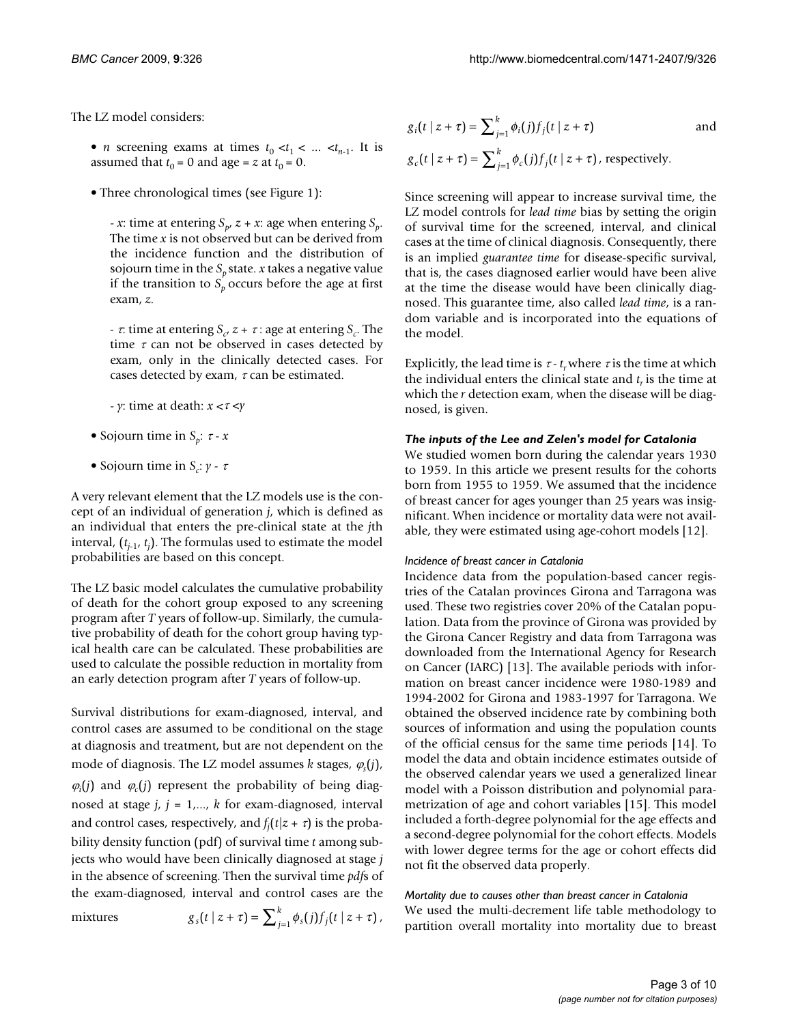The LZ model considers:

- *n* screening exams at times  $t_0 < t_1 < ... < t_{n-1}$ . It is assumed that  $t_0 = 0$  and age = *z* at  $t_0 = 0$ .
- Three chronological times (see Figure 1):

- *x*: time at entering  $S_p$ ,  $z + x$ : age when entering  $S_p$ . The time *x* is not observed but can be derived from the incidence function and the distribution of sojourn time in the  $S_p$  state. *x* takes a negative value if the transition to  $S_p$  occurs before the age at first exam, *z*.

-  $\tau$ : time at entering  $S_c$ ,  $z + \tau$ : age at entering  $S_c$ . The time  $\tau$  can not be observed in cases detected by exam, only in the clinically detected cases. For cases detected by exam,  $\tau$  can be estimated.

- *y*: time at death:  $x < \tau < y$
- Sojourn time in  $S_p$ :  $\tau$  *x*
- Sojourn time in  $S_c$ :  $\gamma$   $\tau$

A very relevant element that the LZ models use is the concept of an individual of generation *j*, which is defined as an individual that enters the pre-clinical state at the *j*th interval, (*tj*-1, *tj* ). The formulas used to estimate the model probabilities are based on this concept.

The LZ basic model calculates the cumulative probability of death for the cohort group exposed to any screening program after *T* years of follow-up. Similarly, the cumulative probability of death for the cohort group having typical health care can be calculated. These probabilities are used to calculate the possible reduction in mortality from an early detection program after *T* years of follow-up.

Survival distributions for exam-diagnosed, interval, and control cases are assumed to be conditional on the stage at diagnosis and treatment, but are not dependent on the mode of diagnosis. The LZ model assumes *k* stages,  $\varphi_s(j)$ ,  $\varphi_i(j)$  and  $\varphi_c(j)$  represent the probability of being diagnosed at stage *j*, *j* = 1,..., *k* for exam-diagnosed, interval and control cases, respectively, and  $f_j(t|z + \tau)$  is the probability density function (pdf) of survival time *t* among subjects who would have been clinically diagnosed at stage *j* in the absence of screening. Then the survival time *pdf*s of the exam-diagnosed, interval and control cases are the

mixtures

$$
g_s(t \mid z + \tau) = \sum_{j=1}^k \phi_s(j) f_j(t \mid z + \tau) \, ,
$$

$$
g_i(t \mid z + \tau) = \sum_{j=1}^k \phi_i(j) f_j(t \mid z + \tau)
$$
 and  

$$
g_c(t \mid z + \tau) = \sum_{j=1}^k \phi_c(j) f_j(t \mid z + \tau)
$$
, respectively.

Since screening will appear to increase survival time, the LZ model controls for *lead time* bias by setting the origin of survival time for the screened, interval, and clinical cases at the time of clinical diagnosis. Consequently, there is an implied *guarantee time* for disease-specific survival, that is, the cases diagnosed earlier would have been alive at the time the disease would have been clinically diagnosed. This guarantee time, also called *lead time*, is a random variable and is incorporated into the equations of the model.

Explicitly, the lead time is  $\tau$  -  $t_r$  where  $\tau$  is the time at which the individual enters the clinical state and  $t_r$  is the time at which the *r* detection exam, when the disease will be diagnosed, is given.

#### *The inputs of the Lee and Zelen's model for Catalonia*

We studied women born during the calendar years 1930 to 1959. In this article we present results for the cohorts born from 1955 to 1959. We assumed that the incidence of breast cancer for ages younger than 25 years was insignificant. When incidence or mortality data were not available, they were estimated using age-cohort models [12].

#### *Incidence of breast cancer in Catalonia*

Incidence data from the population-based cancer registries of the Catalan provinces Girona and Tarragona was used. These two registries cover 20% of the Catalan population. Data from the province of Girona was provided by the Girona Cancer Registry and data from Tarragona was downloaded from the International Agency for Research on Cancer (IARC) [13]. The available periods with information on breast cancer incidence were 1980-1989 and 1994-2002 for Girona and 1983-1997 for Tarragona. We obtained the observed incidence rate by combining both sources of information and using the population counts of the official census for the same time periods [14]. To model the data and obtain incidence estimates outside of the observed calendar years we used a generalized linear model with a Poisson distribution and polynomial parametrization of age and cohort variables [15]. This model included a forth-degree polynomial for the age effects and a second-degree polynomial for the cohort effects. Models with lower degree terms for the age or cohort effects did not fit the observed data properly.

#### *Mortality due to causes other than breast cancer in Catalonia*

We used the multi-decrement life table methodology to partition overall mortality into mortality due to breast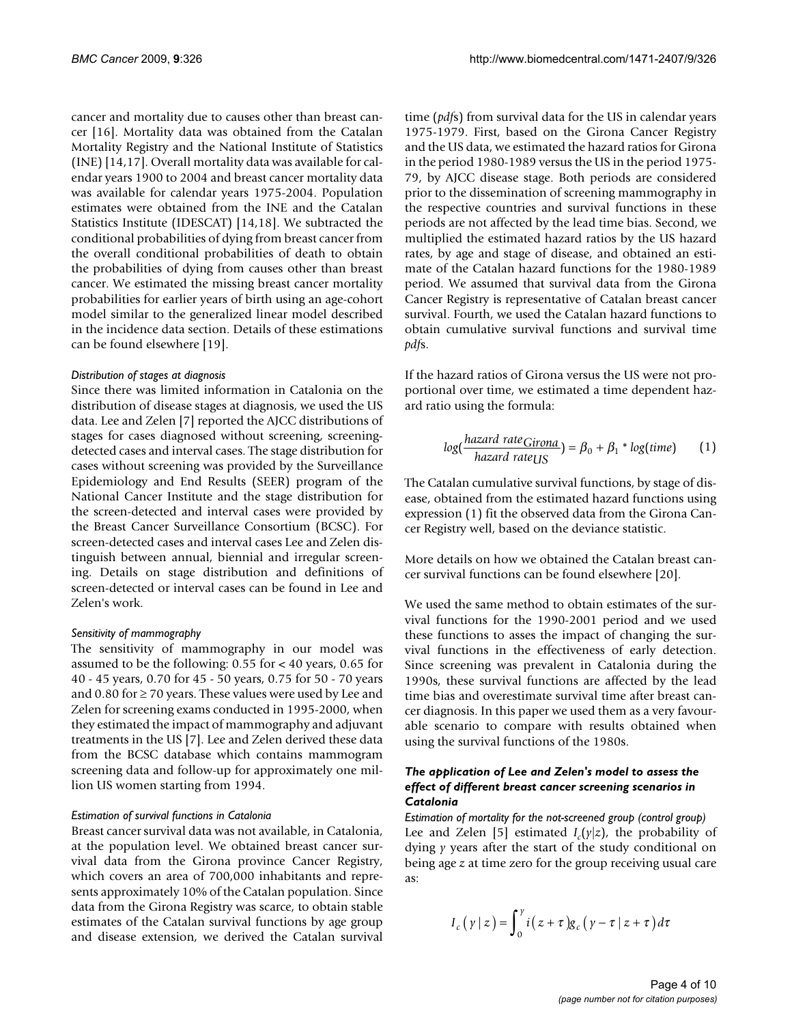cancer and mortality due to causes other than breast cancer [16]. Mortality data was obtained from the Catalan Mortality Registry and the National Institute of Statistics (INE) [14,17]. Overall mortality data was available for calendar years 1900 to 2004 and breast cancer mortality data was available for calendar years 1975-2004. Population estimates were obtained from the INE and the Catalan Statistics Institute (IDESCAT) [14,18]. We subtracted the conditional probabilities of dying from breast cancer from the overall conditional probabilities of death to obtain the probabilities of dying from causes other than breast cancer. We estimated the missing breast cancer mortality probabilities for earlier years of birth using an age-cohort model similar to the generalized linear model described in the incidence data section. Details of these estimations can be found elsewhere [19].

#### *Distribution of stages at diagnosis*

Since there was limited information in Catalonia on the distribution of disease stages at diagnosis, we used the US data. Lee and Zelen [7] reported the AJCC distributions of stages for cases diagnosed without screening, screeningdetected cases and interval cases. The stage distribution for cases without screening was provided by the Surveillance Epidemiology and End Results (SEER) program of the National Cancer Institute and the stage distribution for the screen-detected and interval cases were provided by the Breast Cancer Surveillance Consortium (BCSC). For screen-detected cases and interval cases Lee and Zelen distinguish between annual, biennial and irregular screening. Details on stage distribution and definitions of screen-detected or interval cases can be found in Lee and Zelen's work.

#### *Sensitivity of mammography*

The sensitivity of mammography in our model was assumed to be the following: 0.55 for < 40 years, 0.65 for 40 - 45 years, 0.70 for 45 - 50 years, 0.75 for 50 - 70 years and 0.80 for  $\geq$  70 years. These values were used by Lee and Zelen for screening exams conducted in 1995-2000, when they estimated the impact of mammography and adjuvant treatments in the US [7]. Lee and Zelen derived these data from the BCSC database which contains mammogram screening data and follow-up for approximately one million US women starting from 1994.

#### *Estimation of survival functions in Catalonia*

Breast cancer survival data was not available, in Catalonia, at the population level. We obtained breast cancer survival data from the Girona province Cancer Registry, which covers an area of 700,000 inhabitants and represents approximately 10% of the Catalan population. Since data from the Girona Registry was scarce, to obtain stable estimates of the Catalan survival functions by age group and disease extension, we derived the Catalan survival

time (*pdf*s) from survival data for the US in calendar years 1975-1979. First, based on the Girona Cancer Registry and the US data, we estimated the hazard ratios for Girona in the period 1980-1989 versus the US in the period 1975- 79, by AJCC disease stage. Both periods are considered prior to the dissemination of screening mammography in the respective countries and survival functions in these periods are not affected by the lead time bias. Second, we multiplied the estimated hazard ratios by the US hazard rates, by age and stage of disease, and obtained an estimate of the Catalan hazard functions for the 1980-1989 period. We assumed that survival data from the Girona Cancer Registry is representative of Catalan breast cancer survival. Fourth, we used the Catalan hazard functions to obtain cumulative survival functions and survival time *pdf*s.

If the hazard ratios of Girona versus the US were not proportional over time, we estimated a time dependent hazard ratio using the formula:

$$
log(\frac{hazard\ rate\ Girona}{hazard\ rate\ US}) = \beta_0 + \beta_1 * log(ime)
$$
 (1)

The Catalan cumulative survival functions, by stage of disease, obtained from the estimated hazard functions using expression (1) fit the observed data from the Girona Cancer Registry well, based on the deviance statistic.

More details on how we obtained the Catalan breast cancer survival functions can be found elsewhere [20].

We used the same method to obtain estimates of the survival functions for the 1990-2001 period and we used these functions to asses the impact of changing the survival functions in the effectiveness of early detection. Since screening was prevalent in Catalonia during the 1990s, these survival functions are affected by the lead time bias and overestimate survival time after breast cancer diagnosis. In this paper we used them as a very favourable scenario to compare with results obtained when using the survival functions of the 1980s.

#### *The application of Lee and Zelen's model to assess the effect of different breast cancer screening scenarios in Catalonia*

*Estimation of mortality for the not-screened group (control group)* Lee and Zelen [5] estimated  $I_c(y|z)$ , the probability of dying *y* years after the start of the study conditional on being age *z* at time zero for the group receiving usual care as:

$$
I_c(\gamma | z) = \int_0^{\gamma} i (z + \tau) g_c(\gamma - \tau | z + \tau) d\tau
$$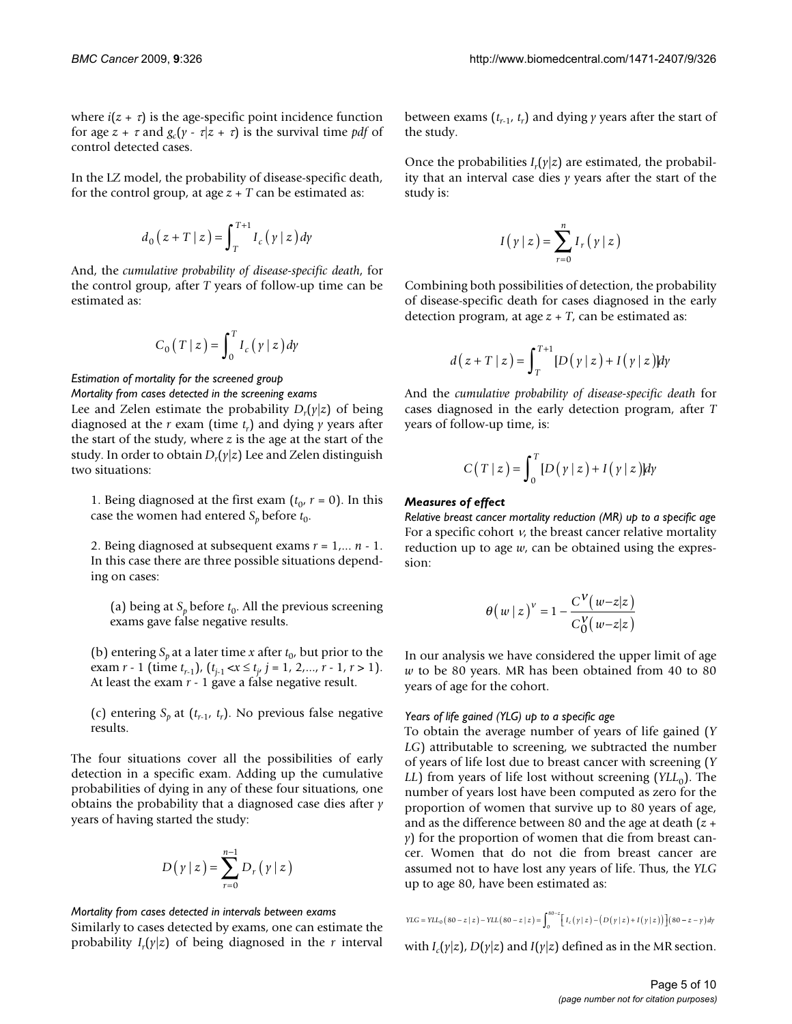where  $i(z + \tau)$  is the age-specific point incidence function for age  $z + \tau$  and  $g_c(y - \tau | z + \tau)$  is the survival time *pdf* of control detected cases.

In the LZ model, the probability of disease-specific death, for the control group, at age  $z + T$  can be estimated as:

$$
d_0(z+T\,|\,z\,)=\int_T^{T+1}I_c\left(\,\gamma\,|\,z\,\right)dy
$$

And, the *cumulative probability of disease-specific death*, for the control group, after *T* years of follow-up time can be estimated as:

$$
C_0(T | z) = \int_0^T I_c(\gamma | z) d\gamma
$$

#### *Estimation of mortality for the screened group Mortality from cases detected in the screening exams*

Lee and Zelen estimate the probability  $D_r(y|z)$  of being diagnosed at the *r* exam (time *tr* ) and dying *y* years after the start of the study, where *z* is the age at the start of the study. In order to obtain  $D_r(y|z)$  Lee and Zelen distinguish two situations:

1. Being diagnosed at the first exam  $(t_0, r = 0)$ . In this case the women had entered  $S_p$  before  $t_0$ .

2. Being diagnosed at subsequent exams *r* = 1,... *n* - 1. In this case there are three possible situations depending on cases:

(a) being at  $S_p$  before  $t_0$ . All the previous screening exams gave false negative results.

(b) entering  $S_p$  at a later time *x* after  $t_0$ , but prior to the exam  $r - 1$  (time  $t_{r-1}$ ),  $(t_{j-1} < x \le t_j, j = 1, 2, ..., r - 1, r > 1)$ . At least the exam *r* - 1 gave a false negative result.

(c) entering  $S_p$  at  $(t_{r-1}, t_r)$ . No previous false negative results.

The four situations cover all the possibilities of early detection in a specific exam. Adding up the cumulative probabilities of dying in any of these four situations, one obtains the probability that a diagnosed case dies after *y* years of having started the study:

$$
D(\gamma | z) = \sum_{r=0}^{n-1} D_r(\gamma | z)
$$

*Mortality from cases detected in intervals between exams*

Similarly to cases detected by exams, one can estimate the probability  $I_r(y|z)$  of being diagnosed in the *r* interval

between exams  $(t_{r-1}, t_r)$  and dying  $\gamma$  years after the start of the study.

Once the probabilities  $I_r(y|z)$  are estimated, the probability that an interval case dies *y* years after the start of the study is:

$$
I(\gamma | z) = \sum_{r=0}^{n} I_r(\gamma | z)
$$

Combining both possibilities of detection, the probability of disease-specific death for cases diagnosed in the early detection program, at age  $z + T$ , can be estimated as:

$$
d(z+T|z) = \int_T^{T+1} [D(\gamma|z) + I(\gamma|z)]dy
$$

And the *cumulative probability of disease-specific death* for cases diagnosed in the early detection program, after *T* years of follow-up time, is:

$$
C(T | z) = \int_0^T [D(\gamma | z) + I(\gamma | z)] dy
$$

#### *Measures of effect*

*Relative breast cancer mortality reduction (MR) up to a specific age* For a specific cohort  $v_t$ , the breast cancer relative mortality reduction up to age *w*, can be obtained using the expression:

$$
\theta(w \mid z)^{\nu} = 1 - \frac{C^{\nu}(w - z \mid z)}{C_0^{\nu}(w - z \mid z)}
$$

In our analysis we have considered the upper limit of age *w* to be 80 years. MR has been obtained from 40 to 80 years of age for the cohort.

#### *Years of life gained (YLG) up to a specific age*

To obtain the average number of years of life gained (*Y LG*) attributable to screening, we subtracted the number of years of life lost due to breast cancer with screening (*Y LL*) from years of life lost without screening  $(YLL_0)$ . The number of years lost have been computed as zero for the proportion of women that survive up to 80 years of age, and as the difference between 80 and the age at death (*z* + *y*) for the proportion of women that die from breast cancer. Women that do not die from breast cancer are assumed not to have lost any years of life. Thus, the *YLG* up to age 80, have been estimated as:

$$
YLG = YLL_0 (80 - z | z) - YLL (80 - z | z) = \int_0^{80 - z} [I_c (y | z) - (D(y | z) + I(y | z))] (80 - z - y) dy
$$

with  $I_c(y|z)$ ,  $D(y|z)$  and  $I(y|z)$  defined as in the MR section.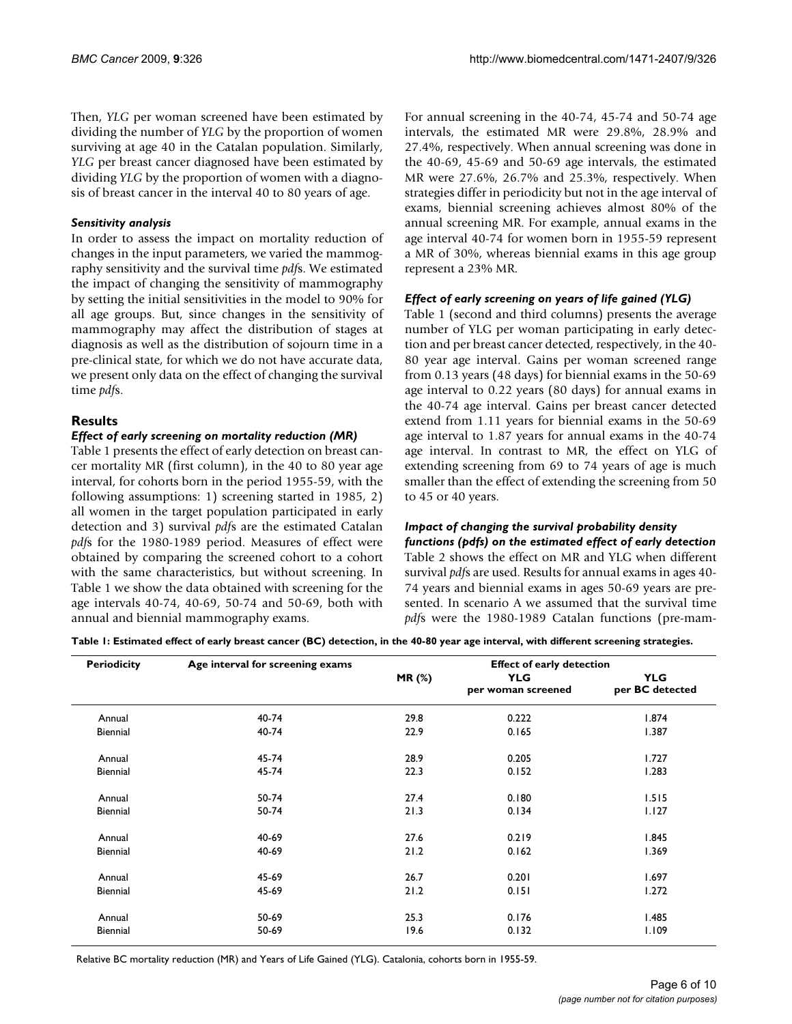Then, *YLG* per woman screened have been estimated by dividing the number of *YLG* by the proportion of women surviving at age 40 in the Catalan population. Similarly, *YLG* per breast cancer diagnosed have been estimated by dividing *YLG* by the proportion of women with a diagnosis of breast cancer in the interval 40 to 80 years of age.

#### *Sensitivity analysis*

In order to assess the impact on mortality reduction of changes in the input parameters, we varied the mammography sensitivity and the survival time *pdf*s. We estimated the impact of changing the sensitivity of mammography by setting the initial sensitivities in the model to 90% for all age groups. But, since changes in the sensitivity of mammography may affect the distribution of stages at diagnosis as well as the distribution of sojourn time in a pre-clinical state, for which we do not have accurate data, we present only data on the effect of changing the survival time *pdf*s.

## **Results**

#### *Effect of early screening on mortality reduction (MR)*

Table 1 presents the effect of early detection on breast cancer mortality MR (first column), in the 40 to 80 year age interval, for cohorts born in the period 1955-59, with the following assumptions: 1) screening started in 1985, 2) all women in the target population participated in early detection and 3) survival *pdf*s are the estimated Catalan *pdf*s for the 1980-1989 period. Measures of effect were obtained by comparing the screened cohort to a cohort with the same characteristics, but without screening. In Table 1 we show the data obtained with screening for the age intervals 40-74, 40-69, 50-74 and 50-69, both with annual and biennial mammography exams.

For annual screening in the 40-74, 45-74 and 50-74 age intervals, the estimated MR were 29.8%, 28.9% and 27.4%, respectively. When annual screening was done in the 40-69, 45-69 and 50-69 age intervals, the estimated MR were 27.6%, 26.7% and 25.3%, respectively. When strategies differ in periodicity but not in the age interval of exams, biennial screening achieves almost 80% of the annual screening MR. For example, annual exams in the age interval 40-74 for women born in 1955-59 represent a MR of 30%, whereas biennial exams in this age group represent a 23% MR.

## *Effect of early screening on years of life gained (YLG)*

Table 1 (second and third columns) presents the average number of YLG per woman participating in early detection and per breast cancer detected, respectively, in the 40- 80 year age interval. Gains per woman screened range from 0.13 years (48 days) for biennial exams in the 50-69 age interval to 0.22 years (80 days) for annual exams in the 40-74 age interval. Gains per breast cancer detected extend from 1.11 years for biennial exams in the 50-69 age interval to 1.87 years for annual exams in the 40-74 age interval. In contrast to MR, the effect on YLG of extending screening from 69 to 74 years of age is much smaller than the effect of extending the screening from 50 to 45 or 40 years.

#### *Impact of changing the survival probability density*

*functions (pdfs) on the estimated effect of early detection* Table 2 shows the effect on MR and YLG when different survival *pdf*s are used. Results for annual exams in ages 40- 74 years and biennial exams in ages 50-69 years are presented. In scenario A we assumed that the survival time *pdf*s were the 1980-1989 Catalan functions (pre-mam-

**Table 1: Estimated effect of early breast cancer (BC) detection, in the 40-80 year age interval, with different screening strategies.**

| <b>Periodicity</b> | Age interval for screening exams | <b>Effect of early detection</b> |                                  |                               |  |  |
|--------------------|----------------------------------|----------------------------------|----------------------------------|-------------------------------|--|--|
|                    |                                  | <b>MR(%)</b>                     | <b>YLG</b><br>per woman screened | <b>YLG</b><br>per BC detected |  |  |
|                    |                                  |                                  |                                  |                               |  |  |
| Annual             | 40-74                            | 29.8                             | 0.222                            | 1.874                         |  |  |
| Biennial           | 40-74                            | 22.9                             | 0.165                            | 1.387                         |  |  |
| Annual             | 45-74                            | 28.9                             | 0.205                            | 1.727                         |  |  |
| Biennial           | 45-74                            | 22.3                             | 0.152                            | 1.283                         |  |  |
| Annual             | 50-74                            | 27.4                             | 0.180                            | 1.515                         |  |  |
| Biennial           | 50-74                            | 21.3                             | 0.134                            | 1.127                         |  |  |
| Annual             | 40-69                            | 27.6                             | 0.219                            | 1.845                         |  |  |
| Biennial           | 40-69                            | 21.2                             | 0.162                            | 1.369                         |  |  |
| Annual             | 45-69                            | 26.7                             | 0.201                            | 1.697                         |  |  |
| Biennial           | 45-69                            | 21.2                             | 0.151                            | 1.272                         |  |  |
| Annual             | 50-69                            | 25.3                             | 0.176                            | 1.485                         |  |  |
| Biennial           | 50-69                            | 19.6                             | 0.132                            | 1.109                         |  |  |

Relative BC mortality reduction (MR) and Years of Life Gained (YLG). Catalonia, cohorts born in 1955-59.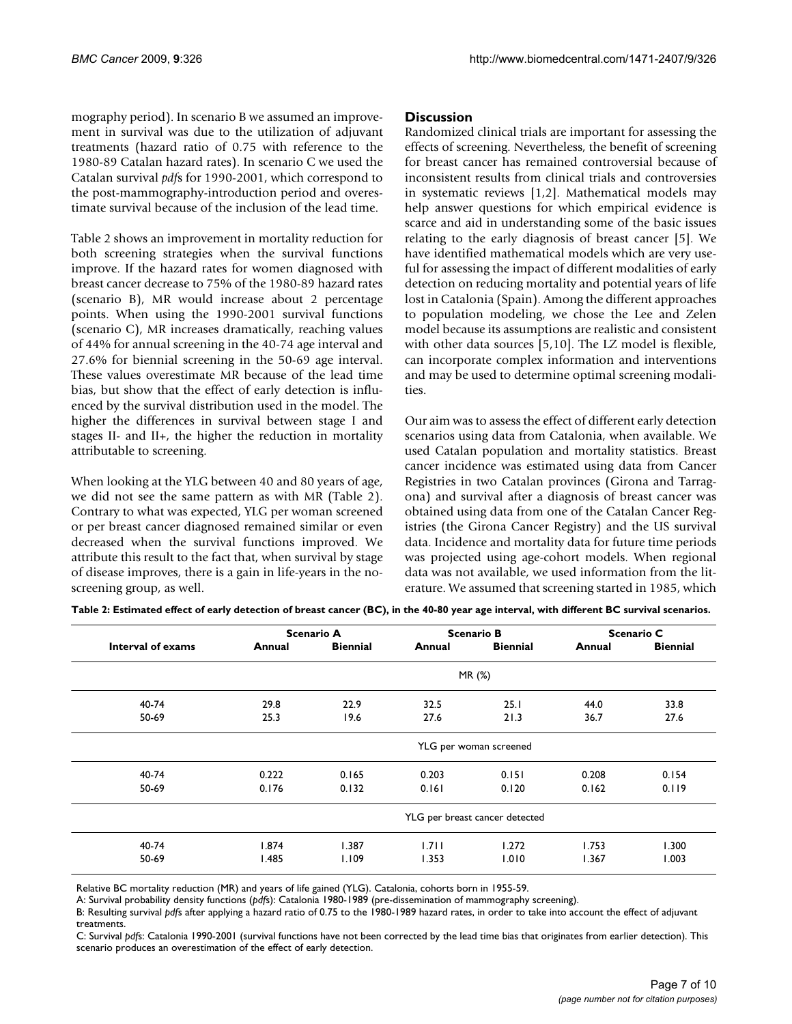mography period). In scenario B we assumed an improvement in survival was due to the utilization of adjuvant treatments (hazard ratio of 0.75 with reference to the 1980-89 Catalan hazard rates). In scenario C we used the Catalan survival *pdf*s for 1990-2001, which correspond to the post-mammography-introduction period and overestimate survival because of the inclusion of the lead time.

Table 2 shows an improvement in mortality reduction for both screening strategies when the survival functions improve. If the hazard rates for women diagnosed with breast cancer decrease to 75% of the 1980-89 hazard rates (scenario B), MR would increase about 2 percentage points. When using the 1990-2001 survival functions (scenario C), MR increases dramatically, reaching values of 44% for annual screening in the 40-74 age interval and 27.6% for biennial screening in the 50-69 age interval. These values overestimate MR because of the lead time bias, but show that the effect of early detection is influenced by the survival distribution used in the model. The higher the differences in survival between stage I and stages II- and II+, the higher the reduction in mortality attributable to screening.

When looking at the YLG between 40 and 80 years of age, we did not see the same pattern as with MR (Table 2). Contrary to what was expected, YLG per woman screened or per breast cancer diagnosed remained similar or even decreased when the survival functions improved. We attribute this result to the fact that, when survival by stage of disease improves, there is a gain in life-years in the noscreening group, as well.

#### **Discussion**

Randomized clinical trials are important for assessing the effects of screening. Nevertheless, the benefit of screening for breast cancer has remained controversial because of inconsistent results from clinical trials and controversies in systematic reviews [1,2]. Mathematical models may help answer questions for which empirical evidence is scarce and aid in understanding some of the basic issues relating to the early diagnosis of breast cancer [5]. We have identified mathematical models which are very useful for assessing the impact of different modalities of early detection on reducing mortality and potential years of life lost in Catalonia (Spain). Among the different approaches to population modeling, we chose the Lee and Zelen model because its assumptions are realistic and consistent with other data sources [5,10]. The LZ model is flexible, can incorporate complex information and interventions and may be used to determine optimal screening modalities.

Our aim was to assess the effect of different early detection scenarios using data from Catalonia, when available. We used Catalan population and mortality statistics. Breast cancer incidence was estimated using data from Cancer Registries in two Catalan provinces (Girona and Tarragona) and survival after a diagnosis of breast cancer was obtained using data from one of the Catalan Cancer Registries (the Girona Cancer Registry) and the US survival data. Incidence and mortality data for future time periods was projected using age-cohort models. When regional data was not available, we used information from the literature. We assumed that screening started in 1985, which

|                   | <b>Scenario A</b>              |                 | <b>Scenario B</b> |                 | Scenario C |                 |  |  |
|-------------------|--------------------------------|-----------------|-------------------|-----------------|------------|-----------------|--|--|
| Interval of exams | Annual                         | <b>Biennial</b> | Annual            | <b>Biennial</b> | Annual     | <b>Biennial</b> |  |  |
|                   | MR (%)                         |                 |                   |                 |            |                 |  |  |
| 40-74             | 29.8                           | 22.9            | 32.5              | 25.1            | 44.0       | 33.8            |  |  |
| 50-69             | 25.3                           | 19.6            | 27.6              | 21.3            | 36.7       | 27.6            |  |  |
|                   | YLG per woman screened         |                 |                   |                 |            |                 |  |  |
| 40-74             | 0.222                          | 0.165           | 0.203             | 0.151           | 0.208      | 0.154           |  |  |
| 50-69             | 0.176                          | 0.132           | 0.161             | 0.120           | 0.162      | 0.119           |  |  |
|                   | YLG per breast cancer detected |                 |                   |                 |            |                 |  |  |
| 40-74             | 1.874                          | 1.387           | 1.711             | 1.272           | 1.753      | 1.300           |  |  |
| 50-69             | 1.485                          | 1.109           | 1.353             | 1.010           | 1.367      | 1.003           |  |  |

Relative BC mortality reduction (MR) and years of life gained (YLG). Catalonia, cohorts born in 1955-59.

A: Survival probability density functions (*pdf*s): Catalonia 1980-1989 (pre-dissemination of mammography screening).

B: Resulting survival *pdf*s after applying a hazard ratio of 0.75 to the 1980-1989 hazard rates, in order to take into account the effect of adjuvant treatments.

C: Survival *pdf*s: Catalonia 1990-2001 (survival functions have not been corrected by the lead time bias that originates from earlier detection). This scenario produces an overestimation of the effect of early detection.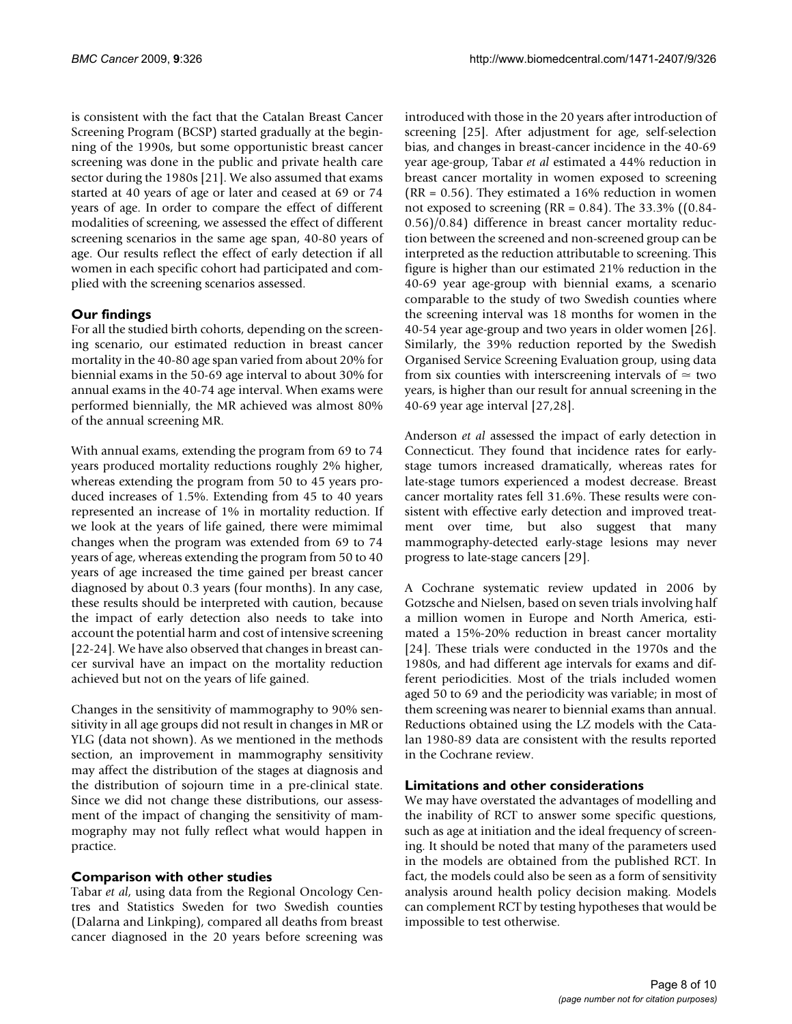is consistent with the fact that the Catalan Breast Cancer Screening Program (BCSP) started gradually at the beginning of the 1990s, but some opportunistic breast cancer screening was done in the public and private health care sector during the 1980s [21]. We also assumed that exams started at 40 years of age or later and ceased at 69 or 74 years of age. In order to compare the effect of different modalities of screening, we assessed the effect of different screening scenarios in the same age span, 40-80 years of age. Our results reflect the effect of early detection if all women in each specific cohort had participated and complied with the screening scenarios assessed.

## **Our findings**

For all the studied birth cohorts, depending on the screening scenario, our estimated reduction in breast cancer mortality in the 40-80 age span varied from about 20% for biennial exams in the 50-69 age interval to about 30% for annual exams in the 40-74 age interval. When exams were performed biennially, the MR achieved was almost 80% of the annual screening MR.

With annual exams, extending the program from 69 to 74 years produced mortality reductions roughly 2% higher, whereas extending the program from 50 to 45 years produced increases of 1.5%. Extending from 45 to 40 years represented an increase of 1% in mortality reduction. If we look at the years of life gained, there were mimimal changes when the program was extended from 69 to 74 years of age, whereas extending the program from 50 to 40 years of age increased the time gained per breast cancer diagnosed by about 0.3 years (four months). In any case, these results should be interpreted with caution, because the impact of early detection also needs to take into account the potential harm and cost of intensive screening [22-24]. We have also observed that changes in breast cancer survival have an impact on the mortality reduction achieved but not on the years of life gained.

Changes in the sensitivity of mammography to 90% sensitivity in all age groups did not result in changes in MR or YLG (data not shown). As we mentioned in the methods section, an improvement in mammography sensitivity may affect the distribution of the stages at diagnosis and the distribution of sojourn time in a pre-clinical state. Since we did not change these distributions, our assessment of the impact of changing the sensitivity of mammography may not fully reflect what would happen in practice.

## **Comparison with other studies**

Tabar *et al*, using data from the Regional Oncology Centres and Statistics Sweden for two Swedish counties (Dalarna and Linkping), compared all deaths from breast cancer diagnosed in the 20 years before screening was

introduced with those in the 20 years after introduction of screening [25]. After adjustment for age, self-selection bias, and changes in breast-cancer incidence in the 40-69 year age-group, Tabar *et al* estimated a 44% reduction in breast cancer mortality in women exposed to screening  $(RR = 0.56)$ . They estimated a 16% reduction in women not exposed to screening (RR = 0.84). The 33.3% ((0.84- 0.56)/0.84) difference in breast cancer mortality reduction between the screened and non-screened group can be interpreted as the reduction attributable to screening. This figure is higher than our estimated 21% reduction in the 40-69 year age-group with biennial exams, a scenario comparable to the study of two Swedish counties where the screening interval was 18 months for women in the 40-54 year age-group and two years in older women [26]. Similarly, the 39% reduction reported by the Swedish Organised Service Screening Evaluation group, using data from six counties with interscreening intervals of  $\simeq$  two years, is higher than our result for annual screening in the 40-69 year age interval [27,28].

Anderson *et al* assessed the impact of early detection in Connecticut. They found that incidence rates for earlystage tumors increased dramatically, whereas rates for late-stage tumors experienced a modest decrease. Breast cancer mortality rates fell 31.6%. These results were consistent with effective early detection and improved treatment over time, but also suggest that many mammography-detected early-stage lesions may never progress to late-stage cancers [29].

A Cochrane systematic review updated in 2006 by Gotzsche and Nielsen, based on seven trials involving half a million women in Europe and North America, estimated a 15%-20% reduction in breast cancer mortality [24]. These trials were conducted in the 1970s and the 1980s, and had different age intervals for exams and different periodicities. Most of the trials included women aged 50 to 69 and the periodicity was variable; in most of them screening was nearer to biennial exams than annual. Reductions obtained using the LZ models with the Catalan 1980-89 data are consistent with the results reported in the Cochrane review.

## **Limitations and other considerations**

We may have overstated the advantages of modelling and the inability of RCT to answer some specific questions, such as age at initiation and the ideal frequency of screening. It should be noted that many of the parameters used in the models are obtained from the published RCT. In fact, the models could also be seen as a form of sensitivity analysis around health policy decision making. Models can complement RCT by testing hypotheses that would be impossible to test otherwise.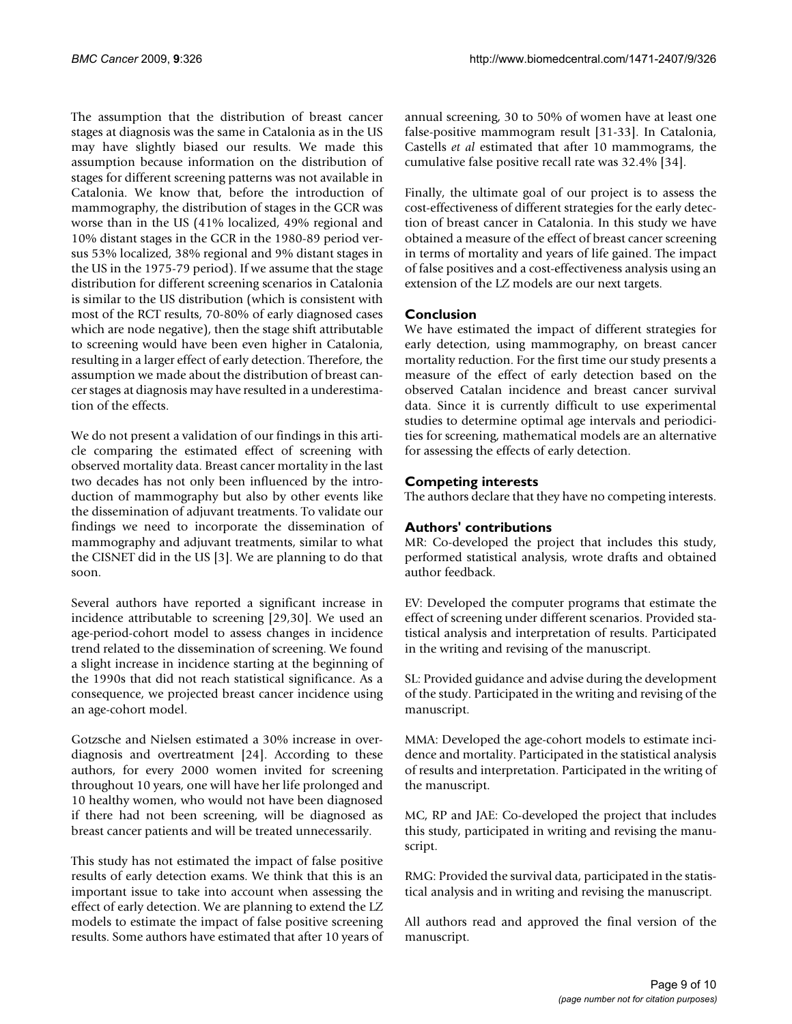The assumption that the distribution of breast cancer stages at diagnosis was the same in Catalonia as in the US may have slightly biased our results. We made this assumption because information on the distribution of stages for different screening patterns was not available in Catalonia. We know that, before the introduction of mammography, the distribution of stages in the GCR was worse than in the US (41% localized, 49% regional and 10% distant stages in the GCR in the 1980-89 period versus 53% localized, 38% regional and 9% distant stages in the US in the 1975-79 period). If we assume that the stage distribution for different screening scenarios in Catalonia is similar to the US distribution (which is consistent with most of the RCT results, 70-80% of early diagnosed cases which are node negative), then the stage shift attributable to screening would have been even higher in Catalonia, resulting in a larger effect of early detection. Therefore, the assumption we made about the distribution of breast cancer stages at diagnosis may have resulted in a underestimation of the effects.

We do not present a validation of our findings in this article comparing the estimated effect of screening with observed mortality data. Breast cancer mortality in the last two decades has not only been influenced by the introduction of mammography but also by other events like the dissemination of adjuvant treatments. To validate our findings we need to incorporate the dissemination of mammography and adjuvant treatments, similar to what the CISNET did in the US [3]. We are planning to do that soon.

Several authors have reported a significant increase in incidence attributable to screening [29,30]. We used an age-period-cohort model to assess changes in incidence trend related to the dissemination of screening. We found a slight increase in incidence starting at the beginning of the 1990s that did not reach statistical significance. As a consequence, we projected breast cancer incidence using an age-cohort model.

Gotzsche and Nielsen estimated a 30% increase in overdiagnosis and overtreatment [24]. According to these authors, for every 2000 women invited for screening throughout 10 years, one will have her life prolonged and 10 healthy women, who would not have been diagnosed if there had not been screening, will be diagnosed as breast cancer patients and will be treated unnecessarily.

This study has not estimated the impact of false positive results of early detection exams. We think that this is an important issue to take into account when assessing the effect of early detection. We are planning to extend the LZ models to estimate the impact of false positive screening results. Some authors have estimated that after 10 years of annual screening, 30 to 50% of women have at least one false-positive mammogram result [31-33]. In Catalonia, Castells *et al* estimated that after 10 mammograms, the cumulative false positive recall rate was 32.4% [34].

Finally, the ultimate goal of our project is to assess the cost-effectiveness of different strategies for the early detection of breast cancer in Catalonia. In this study we have obtained a measure of the effect of breast cancer screening in terms of mortality and years of life gained. The impact of false positives and a cost-effectiveness analysis using an extension of the LZ models are our next targets.

## **Conclusion**

We have estimated the impact of different strategies for early detection, using mammography, on breast cancer mortality reduction. For the first time our study presents a measure of the effect of early detection based on the observed Catalan incidence and breast cancer survival data. Since it is currently difficult to use experimental studies to determine optimal age intervals and periodicities for screening, mathematical models are an alternative for assessing the effects of early detection.

## **Competing interests**

The authors declare that they have no competing interests.

## **Authors' contributions**

MR: Co-developed the project that includes this study, performed statistical analysis, wrote drafts and obtained author feedback.

EV: Developed the computer programs that estimate the effect of screening under different scenarios. Provided statistical analysis and interpretation of results. Participated in the writing and revising of the manuscript.

SL: Provided guidance and advise during the development of the study. Participated in the writing and revising of the manuscript.

MMA: Developed the age-cohort models to estimate incidence and mortality. Participated in the statistical analysis of results and interpretation. Participated in the writing of the manuscript.

MC, RP and JAE: Co-developed the project that includes this study, participated in writing and revising the manuscript.

RMG: Provided the survival data, participated in the statistical analysis and in writing and revising the manuscript.

All authors read and approved the final version of the manuscript.